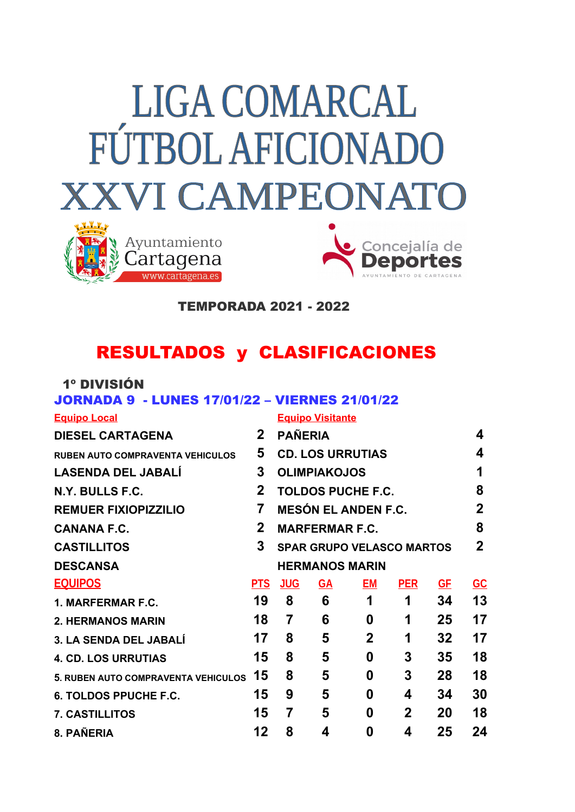# **LIGA COMARCAL FÚTBOL AFICIONADO XXVI CAMPEONATO**





TEMPORADA 2021 - 2022

# RESULTADOS y CLASIFICACIONES

## 1º DIVISIÓN

# JORNADA 9 - LUNES 17/01/22 – VIERNES 21/01/22

### **Equipo Local Equipo Visitante**

| <b>DIESEL CARTAGENA</b>                 | $\mathbf{2}$   | <b>PAÑERIA</b>                   |           |                  |              |           |                           |  |
|-----------------------------------------|----------------|----------------------------------|-----------|------------------|--------------|-----------|---------------------------|--|
| <b>RUBEN AUTO COMPRAVENTA VEHICULOS</b> | 5              | <b>CD. LOS URRUTIAS</b>          |           |                  |              |           |                           |  |
| <b>LASENDA DEL JABALI</b>               | 3              | <b>OLIMPIAKOJOS</b>              |           |                  |              |           |                           |  |
| N.Y. BULLS F.C.                         | $\mathbf{2}$   | <b>TOLDOS PUCHE F.C.</b>         |           |                  |              |           |                           |  |
| <b>REMUER FIXIOPIZZILIO</b>             | $\overline{7}$ | <b>MESÓN EL ANDEN F.C.</b>       |           |                  |              |           |                           |  |
| <b>CANANA F.C.</b>                      | $\mathbf{2}$   | <b>MARFERMAR F.C.</b>            |           |                  |              |           |                           |  |
| <b>CASTILLITOS</b>                      | $\mathbf{3}$   | <b>SPAR GRUPO VELASCO MARTOS</b> |           |                  |              |           |                           |  |
| <b>DESCANSA</b>                         |                | <b>HERMANOS MARIN</b>            |           |                  |              |           |                           |  |
| <b>EQUIPOS</b>                          | <b>PTS</b>     | <b>JUG</b>                       | <b>GA</b> | EM               | <b>PER</b>   | <u>GF</u> | $\underline{\mathsf{GC}}$ |  |
| 1. MARFERMAR F.C.                       | 19             | 8                                | 6         | 1                | 1            | 34        | 13                        |  |
| <b>2. HERMANOS MARIN</b>                | 18             | 7                                | 6         | $\boldsymbol{0}$ | 1            | 25        | 17                        |  |
| 3. LA SENDA DEL JABALÍ                  | 17             | 8                                | 5         | $\mathbf{2}$     | 1            | 32        | 17                        |  |
| <b>4. CD. LOS URRUTIAS</b>              | 15             | 8                                | 5         | $\boldsymbol{0}$ | 3            | 35        | 18                        |  |
| 5. RUBEN AUTO COMPRAVENTA VEHICULOS 15  |                | 8                                | 5         | 0                | 3            | 28        | 18                        |  |
| <b>6. TOLDOS PPUCHE F.C.</b>            | 15             | 9                                | 5         | 0                | 4            | 34        | 30                        |  |
| 7. CASTILLITOS                          | 15             | 7                                | 5         | 0                | $\mathbf{2}$ | 20        | 18                        |  |
| 8. PAÑERIA                              | 12             | 8                                | 4         | 0                | 4            | 25        | 24                        |  |